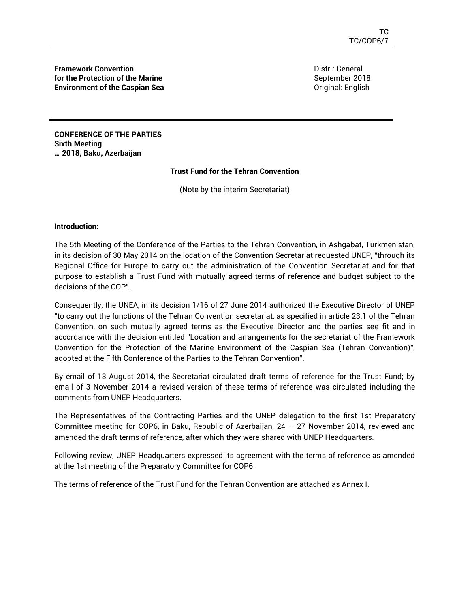**Framework Convention for the Protection of the Marine Environment of the Caspian Sea** Distr.: General September 2018 Original: English

**CONFERENCE OF THE PARTIES Sixth Meeting … 2018, Baku, Azerbaijan** 

#### **Trust Fund for the Tehran Convention**

(Note by the interim Secretariat)

#### **Introduction:**

The 5th Meeting of the Conference of the Parties to the Tehran Convention, in Ashgabat, Turkmenistan, in its decision of 30 May 2014 on the location of the Convention Secretariat requested UNEP, "through its Regional Office for Europe to carry out the administration of the Convention Secretariat and for that purpose to establish a Trust Fund with mutually agreed terms of reference and budget subject to the decisions of the COP".

Consequently, the UNEA, in its decision 1/16 of 27 June 2014 authorized the Executive Director of UNEP "to carry out the functions of the Tehran Convention secretariat, as specified in article 23.1 of the Tehran Convention, on such mutually agreed terms as the Executive Director and the parties see fit and in accordance with the decision entitled "Location and arrangements for the secretariat of the Framework Convention for the Protection of the Marine Environment of the Caspian Sea (Tehran Convention)", adopted at the Fifth Conference of the Parties to the Tehran Convention".

By email of 13 August 2014, the Secretariat circulated draft terms of reference for the Trust Fund; by email of 3 November 2014 a revised version of these terms of reference was circulated including the comments from UNEP Headquarters.

The Representatives of the Contracting Parties and the UNEP delegation to the first 1st Preparatory Committee meeting for COP6, in Baku, Republic of Azerbaijan, 24 – 27 November 2014, reviewed and amended the draft terms of reference, after which they were shared with UNEP Headquarters.

Following review, UNEP Headquarters expressed its agreement with the terms of reference as amended at the 1st meeting of the Preparatory Committee for COP6.

The terms of reference of the Trust Fund for the Tehran Convention are attached as Annex I.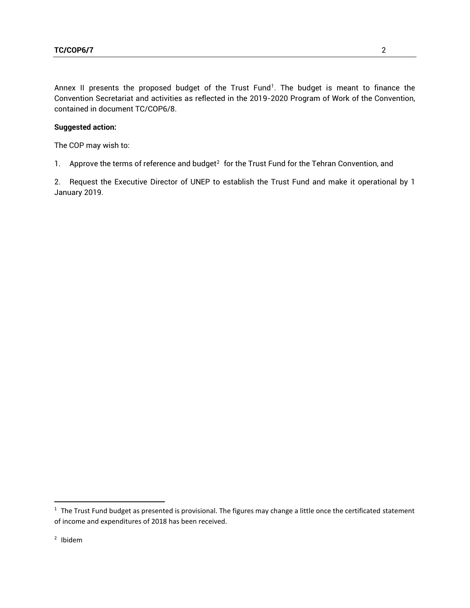Annex II presents the proposed budget of the Trust Fund<sup>1</sup>. The budget is meant to finance the Convention Secretariat and activities as reflected in the 2019-2020 Program of Work of the Convention, contained in document TC/COP6/8.

### **Suggested action:**

The COP may wish to:

1. Approve the terms of reference and budget<sup>2</sup> for the Trust Fund for the Tehran Convention, and

2. Request the Executive Director of UNEP to establish the Trust Fund and make it operational by 1 January 2019.

 $1$  The Trust Fund budget as presented is provisional. The figures may change a little once the certificated statement of income and expenditures of 2018 has been received.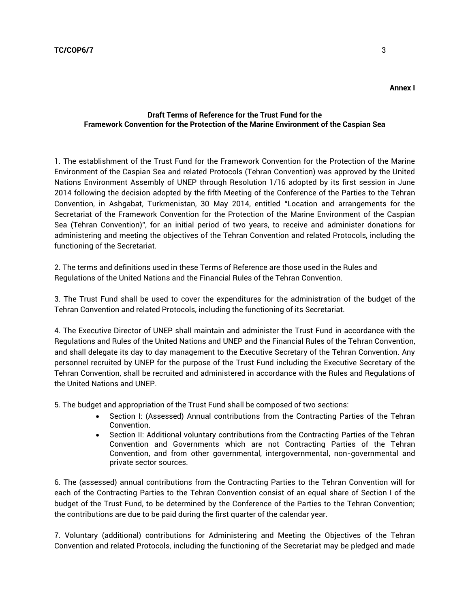#### **Draft Terms of Reference for the Trust Fund for the Framework Convention for the Protection of the Marine Environment of the Caspian Sea**

1. The establishment of the Trust Fund for the Framework Convention for the Protection of the Marine Environment of the Caspian Sea and related Protocols (Tehran Convention) was approved by the United Nations Environment Assembly of UNEP through Resolution 1/16 adopted by its first session in June 2014 following the decision adopted by the fifth Meeting of the Conference of the Parties to the Tehran Convention, in Ashgabat, Turkmenistan, 30 May 2014, entitled "Location and arrangements for the Secretariat of the Framework Convention for the Protection of the Marine Environment of the Caspian Sea (Tehran Convention)", for an initial period of two years, to receive and administer donations for administering and meeting the objectives of the Tehran Convention and related Protocols, including the functioning of the Secretariat.

2. The terms and definitions used in these Terms of Reference are those used in the Rules and Regulations of the United Nations and the Financial Rules of the Tehran Convention.

3. The Trust Fund shall be used to cover the expenditures for the administration of the budget of the Tehran Convention and related Protocols, including the functioning of its Secretariat.

4. The Executive Director of UNEP shall maintain and administer the Trust Fund in accordance with the Regulations and Rules of the United Nations and UNEP and the Financial Rules of the Tehran Convention, and shall delegate its day to day management to the Executive Secretary of the Tehran Convention. Any personnel recruited by UNEP for the purpose of the Trust Fund including the Executive Secretary of the Tehran Convention, shall be recruited and administered in accordance with the Rules and Regulations of the United Nations and UNEP.

5. The budget and appropriation of the Trust Fund shall be composed of two sections:

- Section I: (Assessed) Annual contributions from the Contracting Parties of the Tehran Convention.
- Section II: Additional voluntary contributions from the Contracting Parties of the Tehran Convention and Governments which are not Contracting Parties of the Tehran Convention, and from other governmental, intergovernmental, non-governmental and private sector sources.

6. The (assessed) annual contributions from the Contracting Parties to the Tehran Convention will for each of the Contracting Parties to the Tehran Convention consist of an equal share of Section I of the budget of the Trust Fund, to be determined by the Conference of the Parties to the Tehran Convention; the contributions are due to be paid during the first quarter of the calendar year.

7. Voluntary (additional) contributions for Administering and Meeting the Objectives of the Tehran Convention and related Protocols, including the functioning of the Secretariat may be pledged and made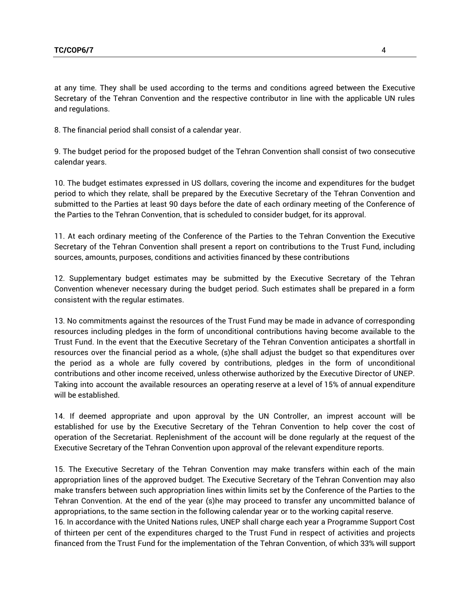at any time. They shall be used according to the terms and conditions agreed between the Executive Secretary of the Tehran Convention and the respective contributor in line with the applicable UN rules and regulations.

8. The financial period shall consist of a calendar year.

9. The budget period for the proposed budget of the Tehran Convention shall consist of two consecutive calendar years.

10. The budget estimates expressed in US dollars, covering the income and expenditures for the budget period to which they relate, shall be prepared by the Executive Secretary of the Tehran Convention and submitted to the Parties at least 90 days before the date of each ordinary meeting of the Conference of the Parties to the Tehran Convention, that is scheduled to consider budget, for its approval.

11. At each ordinary meeting of the Conference of the Parties to the Tehran Convention the Executive Secretary of the Tehran Convention shall present a report on contributions to the Trust Fund, including sources, amounts, purposes, conditions and activities financed by these contributions

12. Supplementary budget estimates may be submitted by the Executive Secretary of the Tehran Convention whenever necessary during the budget period. Such estimates shall be prepared in a form consistent with the regular estimates.

13. No commitments against the resources of the Trust Fund may be made in advance of corresponding resources including pledges in the form of unconditional contributions having become available to the Trust Fund. In the event that the Executive Secretary of the Tehran Convention anticipates a shortfall in resources over the financial period as a whole, (s)he shall adjust the budget so that expenditures over the period as a whole are fully covered by contributions, pledges in the form of unconditional contributions and other income received, unless otherwise authorized by the Executive Director of UNEP. Taking into account the available resources an operating reserve at a level of 15% of annual expenditure will be established.

14. If deemed appropriate and upon approval by the UN Controller, an imprest account will be established for use by the Executive Secretary of the Tehran Convention to help cover the cost of operation of the Secretariat. Replenishment of the account will be done regularly at the request of the Executive Secretary of the Tehran Convention upon approval of the relevant expenditure reports.

15. The Executive Secretary of the Tehran Convention may make transfers within each of the main appropriation lines of the approved budget. The Executive Secretary of the Tehran Convention may also make transfers between such appropriation lines within limits set by the Conference of the Parties to the Tehran Convention. At the end of the year (s)he may proceed to transfer any uncommitted balance of appropriations, to the same section in the following calendar year or to the working capital reserve. 16. In accordance with the United Nations rules, UNEP shall charge each year a Programme Support Cost of thirteen per cent of the expenditures charged to the Trust Fund in respect of activities and projects financed from the Trust Fund for the implementation of the Tehran Convention, of which 33% will support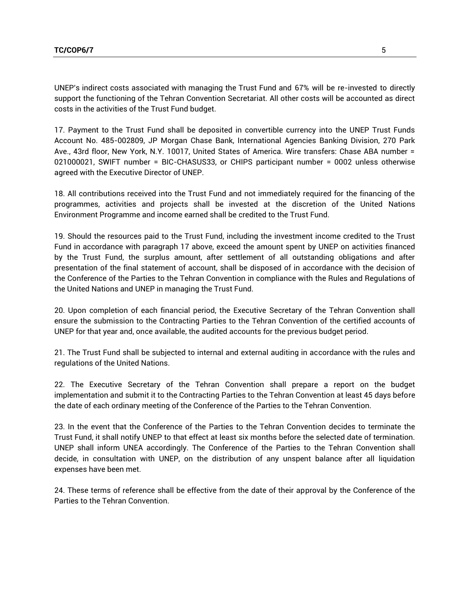UNEP's indirect costs associated with managing the Trust Fund and 67% will be re-invested to directly support the functioning of the Tehran Convention Secretariat. All other costs will be accounted as direct costs in the activities of the Trust Fund budget.

17. Payment to the Trust Fund shall be deposited in convertible currency into the UNEP Trust Funds Account No. 485-002809, JP Morgan Chase Bank, International Agencies Banking Division, 270 Park Ave., 43rd floor, New York, N.Y. 10017, United States of America. Wire transfers: Chase ABA number = 021000021, SWIFT number = BIC-CHASUS33, or CHIPS participant number = 0002 unless otherwise agreed with the Executive Director of UNEP.

18. All contributions received into the Trust Fund and not immediately required for the financing of the programmes, activities and projects shall be invested at the discretion of the United Nations Environment Programme and income earned shall be credited to the Trust Fund.

19. Should the resources paid to the Trust Fund, including the investment income credited to the Trust Fund in accordance with paragraph 17 above, exceed the amount spent by UNEP on activities financed by the Trust Fund, the surplus amount, after settlement of all outstanding obligations and after presentation of the final statement of account, shall be disposed of in accordance with the decision of the Conference of the Parties to the Tehran Convention in compliance with the Rules and Regulations of the United Nations and UNEP in managing the Trust Fund.

20. Upon completion of each financial period, the Executive Secretary of the Tehran Convention shall ensure the submission to the Contracting Parties to the Tehran Convention of the certified accounts of UNEP for that year and, once available, the audited accounts for the previous budget period.

21. The Trust Fund shall be subjected to internal and external auditing in accordance with the rules and regulations of the United Nations.

22. The Executive Secretary of the Tehran Convention shall prepare a report on the budget implementation and submit it to the Contracting Parties to the Tehran Convention at least 45 days before the date of each ordinary meeting of the Conference of the Parties to the Tehran Convention.

23. In the event that the Conference of the Parties to the Tehran Convention decides to terminate the Trust Fund, it shall notify UNEP to that effect at least six months before the selected date of termination. UNEP shall inform UNEA accordingly. The Conference of the Parties to the Tehran Convention shall decide, in consultation with UNEP, on the distribution of any unspent balance after all liquidation expenses have been met.

24. These terms of reference shall be effective from the date of their approval by the Conference of the Parties to the Tehran Convention.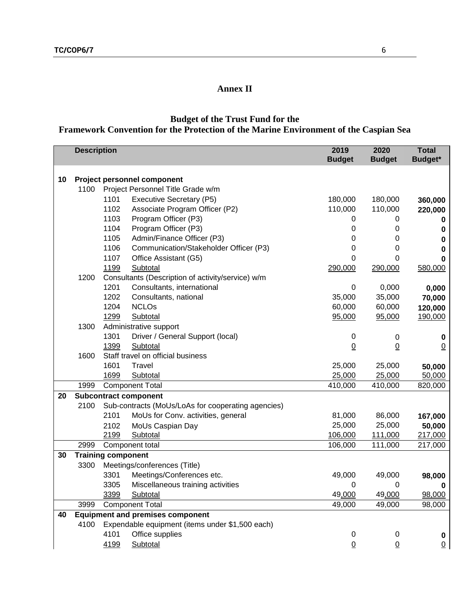### **Annex II**

# **Budget of the Trust Fund for the**

## **Framework Convention for the Protection of the Marine Environment of the Caspian Sea**

|    | <b>Description</b> |                                                 |                                                    | 2019<br><b>Budget</b> | 2020<br><b>Budget</b> | <b>Total</b><br><b>Budget*</b> |  |  |  |
|----|--------------------|-------------------------------------------------|----------------------------------------------------|-----------------------|-----------------------|--------------------------------|--|--|--|
|    |                    |                                                 |                                                    |                       |                       |                                |  |  |  |
| 10 |                    | <b>Project personnel component</b>              |                                                    |                       |                       |                                |  |  |  |
|    | 1100               |                                                 | Project Personnel Title Grade w/m                  |                       |                       |                                |  |  |  |
|    |                    | 1101                                            | <b>Executive Secretary (P5)</b>                    | 180,000               | 180,000               | 360,000                        |  |  |  |
|    |                    | 1102                                            | Associate Program Officer (P2)                     | 110,000               | 110,000               | 220,000                        |  |  |  |
|    |                    | 1103                                            | Program Officer (P3)                               | 0                     | 0                     | 0                              |  |  |  |
|    |                    | 1104                                            | Program Officer (P3)                               | 0                     | 0                     | 0                              |  |  |  |
|    |                    | 1105                                            | Admin/Finance Officer (P3)                         | 0                     | 0                     | 0                              |  |  |  |
|    |                    | 1106                                            | Communication/Stakeholder Officer (P3)             | 0                     | 0                     | 0                              |  |  |  |
|    |                    | 1107                                            | Office Assistant (G5)                              | 0                     | 0                     | 0                              |  |  |  |
|    |                    | 1199                                            | Subtotal                                           | 290,000               | 290,000               | 580,000                        |  |  |  |
|    | 1200               |                                                 | Consultants (Description of activity/service) w/m  |                       |                       |                                |  |  |  |
|    |                    | 1201                                            | Consultants, international                         | 0                     | 0,000                 | 0,000                          |  |  |  |
|    |                    | 1202                                            | Consultants, national                              | 35,000                | 35,000                | 70,000                         |  |  |  |
|    |                    | 1204                                            | <b>NCLOs</b>                                       | 60,000                | 60,000                | 120,000                        |  |  |  |
|    |                    | 1299                                            | Subtotal                                           | 95,000                | 95,000                | 190,000                        |  |  |  |
|    | 1300               |                                                 | Administrative support                             |                       |                       |                                |  |  |  |
|    |                    | 1301                                            | Driver / General Support (local)                   | 0                     | 0                     | 0                              |  |  |  |
|    |                    | 1399                                            | Subtotal                                           | $\underline{0}$       | $\overline{0}$        | $\overline{0}$                 |  |  |  |
|    | 1600               |                                                 | Staff travel on official business                  |                       |                       |                                |  |  |  |
|    |                    | 1601                                            | Travel                                             | 25,000                | 25,000                | 50,000                         |  |  |  |
|    |                    | 1699                                            | Subtotal                                           | 25,000                | 25,000                | 50,000                         |  |  |  |
|    | 1999               |                                                 | <b>Component Total</b>                             | 410,000               | 410,000               | 820,000                        |  |  |  |
| 20 |                    | <b>Subcontract component</b>                    |                                                    |                       |                       |                                |  |  |  |
|    | 2100               |                                                 | Sub-contracts (MoUs/LoAs for cooperating agencies) |                       |                       |                                |  |  |  |
|    |                    | 2101                                            | MoUs for Conv. activities, general                 | 81,000                | 86,000                | 167,000                        |  |  |  |
|    |                    | 2102                                            | MoUs Caspian Day                                   | 25,000                | 25,000                | 50,000                         |  |  |  |
|    |                    | 2199                                            | Subtotal                                           | 106,000               | 111,000               | 217,000                        |  |  |  |
|    | 2999               |                                                 | Component total                                    | 106,000               | 111,000               | 217,000                        |  |  |  |
| 30 |                    | <b>Training component</b>                       |                                                    |                       |                       |                                |  |  |  |
|    | 3300               |                                                 | Meetings/conferences (Title)                       |                       |                       |                                |  |  |  |
|    |                    | 3301                                            | Meetings/Conferences etc.                          | 49,000                | 49,000                | 98,000                         |  |  |  |
|    |                    | 3305                                            | Miscellaneous training activities                  | 0                     | $\Omega$              | n.                             |  |  |  |
|    |                    | 3399                                            | Subtotal                                           | 49,000                | 49,000                | 98,000                         |  |  |  |
|    | 3999               |                                                 | <b>Component Total</b>                             | 49,000                | 49,000                | 98,000                         |  |  |  |
| 40 |                    | <b>Equipment and premises component</b>         |                                                    |                       |                       |                                |  |  |  |
|    | 4100               | Expendable equipment (items under \$1,500 each) |                                                    |                       |                       |                                |  |  |  |
|    |                    | 4101                                            | Office supplies                                    | 0                     | 0                     | 0                              |  |  |  |
|    |                    | 4199                                            | Subtotal                                           | $\underline{0}$       | $\overline{0}$        | $\overline{0}$                 |  |  |  |